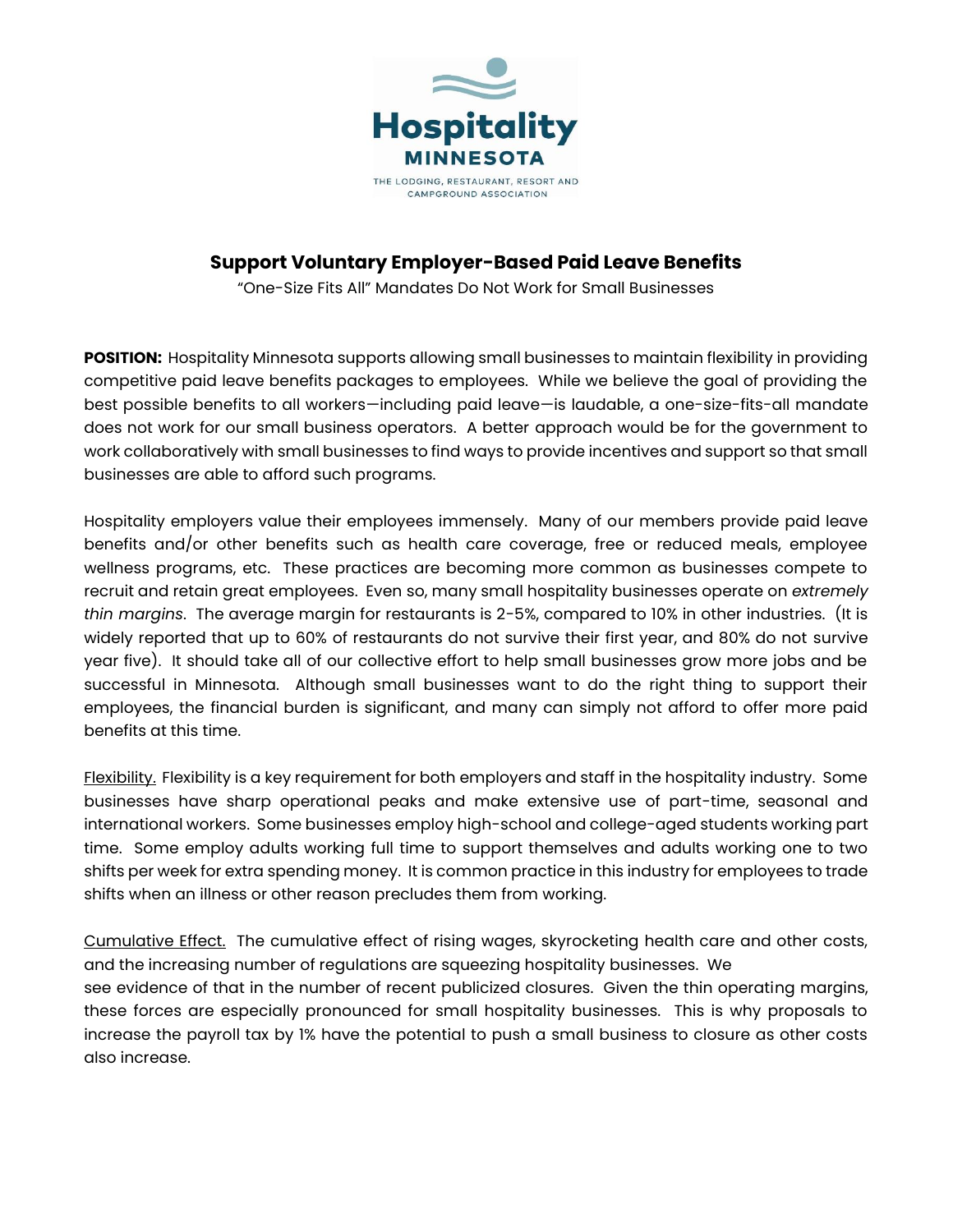

## **Support Voluntary Employer-Based Paid Leave Benefits**

"One-Size Fits All" Mandates Do Not Work for Small Businesses

**POSITION:** Hospitality Minnesota supports allowing small businesses to maintain flexibility in providing competitive paid leave benefits packages to employees. While we believe the goal of providing the best possible benefits to all workers—including paid leave—is laudable, a one-size-fits-all mandate does not work for our small business operators. A better approach would be for the government to work collaboratively with small businesses to find ways to provide incentives and support so that small businesses are able to afford such programs.

Hospitality employers value their employees immensely. Many of our members provide paid leave benefits and/or other benefits such as health care coverage, free or reduced meals, employee wellness programs, etc. These practices are becoming more common as businesses compete to recruit and retain great employees. Even so, many small hospitality businesses operate on *extremely thin margins*. The average margin for restaurants is 2-5%, compared to 10% in other industries. (It is widely reported that up to 60% of restaurants do not survive their first year, and 80% do not survive year five). It should take all of our collective effort to help small businesses grow more jobs and be successful in Minnesota. Although small businesses want to do the right thing to support their employees, the financial burden is significant, and many can simply not afford to offer more paid benefits at this time.

Flexibility.Flexibility is a key requirement for both employers and staff in the hospitality industry. Some businesses have sharp operational peaks and make extensive use of part-time, seasonal and international workers. Some businesses employ high-school and college-aged students working part time. Some employ adults working full time to support themselves and adults working one to two shifts per week for extra spending money. It is common practice in this industry for employees to trade shifts when an illness or other reason precludes them from working.

Cumulative Effect. The cumulative effect of rising wages, skyrocketing health care and other costs, and the increasing number of regulations are squeezing hospitality businesses. We see evidence of that in the number of recent publicized closures. Given the thin operating margins, these forces are especially pronounced for small hospitality businesses. This is why proposals to increase the payroll tax by 1% have the potential to push a small business to closure as other costs also increase.